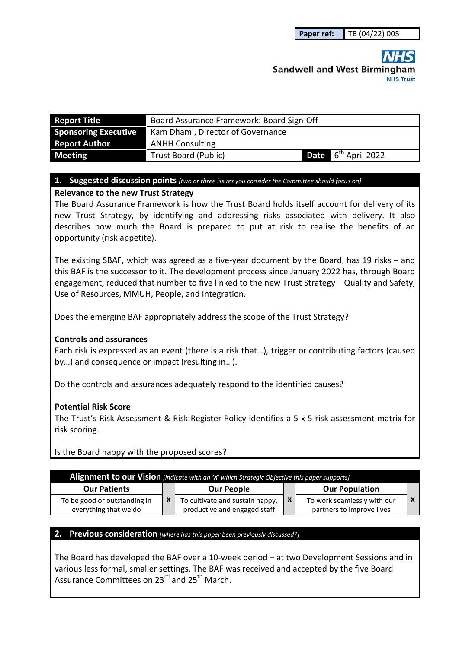# **Sandwell and West Birmingham**

| <b>Report Title</b>                                                              | Board Assurance Framework: Board Sign-Off |  |  |  |  |
|----------------------------------------------------------------------------------|-------------------------------------------|--|--|--|--|
| <b>Sponsoring Executive</b>                                                      | Kam Dhami, Director of Governance         |  |  |  |  |
| <b>Report Author</b>                                                             | <b>ANHH Consulting</b>                    |  |  |  |  |
| Date 6 <sup>th</sup> April 2022<br><b>Trust Board (Public)</b><br><b>Meeting</b> |                                           |  |  |  |  |

#### **1. Suggested discussion points** *[two or three issues you consider the Committee should focus on]*

#### **Relevance to the new Trust Strategy**

The Board Assurance Framework is how the Trust Board holds itself account for delivery of its new Trust Strategy, by identifying and addressing risks associated with delivery. It also describes how much the Board is prepared to put at risk to realise the benefits of an opportunity (risk appetite).

The existing SBAF, which was agreed as a five-year document by the Board, has 19 risks – and this BAF is the successor to it. The development process since January 2022 has, through Board engagement, reduced that number to five linked to the new Trust Strategy – Quality and Safety, Use of Resources, MMUH, People, and Integration.

Does the emerging BAF appropriately address the scope of the Trust Strategy?

#### **Controls and assurances**

Each risk is expressed as an event (there is a risk that…), trigger or contributing factors (caused by…) and consequence or impact (resulting in…).

Do the controls and assurances adequately respond to the identified causes?

#### **Potential Risk Score**

The Trust's Risk Assessment & Risk Register Policy identifies a 5 x 5 risk assessment matrix for risk scoring.

Is the Board happy with the proposed scores?

| [Alignment to our Vision [indicate with an 'X' which Strategic Objective this paper supports] |  |                                                                 |                           |                                                          |  |  |  |
|-----------------------------------------------------------------------------------------------|--|-----------------------------------------------------------------|---------------------------|----------------------------------------------------------|--|--|--|
| <b>Our Patients</b>                                                                           |  | <b>Our People</b>                                               |                           | <b>Our Population</b>                                    |  |  |  |
| To be good or outstanding in<br>everything that we do                                         |  | To cultivate and sustain happy,<br>productive and engaged staff | $\boldsymbol{\mathsf{x}}$ | To work seamlessly with our<br>partners to improve lives |  |  |  |

#### **2. Previous consideration** *[where has this paper been previously discussed?]*

The Board has developed the BAF over a 10-week period – at two Development Sessions and in various less formal, smaller settings. The BAF was received and accepted by the five Board Assurance Committees on 23<sup>rd</sup> and 25<sup>th</sup> March.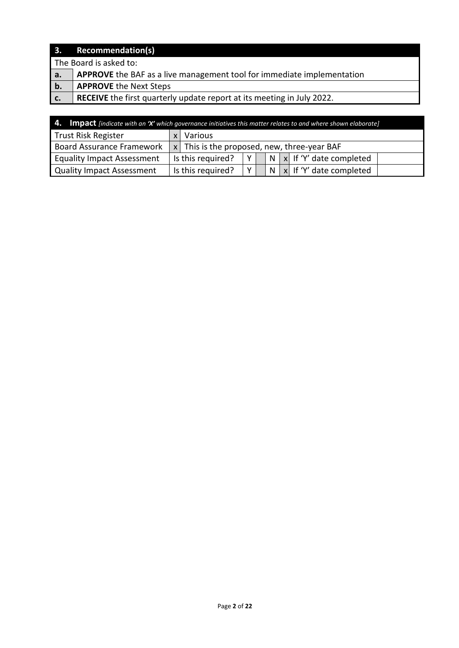| 3.             | <b>Recommendation(s)</b>                                               |
|----------------|------------------------------------------------------------------------|
|                | The Board is asked to:                                                 |
| $^{\prime}$ a. | APPROVE the BAF as a live management tool for immediate implementation |
| b.             | <b>APPROVE the Next Steps</b>                                          |
| c.             | RECEIVE the first quarterly update report at its meeting in July 2022. |

| <b>4.</b> Impact [indicate with an 'X' which governance initiatives this matter relates to and where shown elaborate] |                                                            |                   |                |  |  |  |                                 |
|-----------------------------------------------------------------------------------------------------------------------|------------------------------------------------------------|-------------------|----------------|--|--|--|---------------------------------|
| <b>Trust Risk Register</b>                                                                                            | Various                                                    |                   |                |  |  |  |                                 |
| <b>Board Assurance Framework</b>                                                                                      | $x$ This is the proposed, new, three-year BAF              |                   |                |  |  |  |                                 |
| <b>Equality Impact Assessment</b>                                                                                     | $N   x  $ If 'Y' date completed<br>Is this required?<br>YI |                   |                |  |  |  |                                 |
| <b>Quality Impact Assessment</b>                                                                                      |                                                            | Is this required? | Y <sub>1</sub> |  |  |  | $N   x  $ If 'Y' date completed |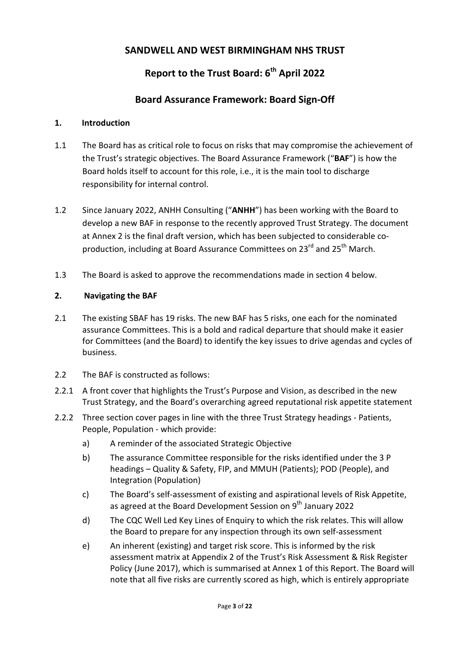# **SANDWELL AND WEST BIRMINGHAM NHS TRUST**

# **Report to the Trust Board: 6th April 2022**

# **Board Assurance Framework: Board Sign-Off**

## **1. Introduction**

- 1.1 The Board has as critical role to focus on risks that may compromise the achievement of the Trust's strategic objectives. The Board Assurance Framework ("**BAF**") is how the Board holds itself to account for this role, i.e., it is the main tool to discharge responsibility for internal control.
- 1.2 Since January 2022, ANHH Consulting ("**ANHH**") has been working with the Board to develop a new BAF in response to the recently approved Trust Strategy. The document at Annex 2 is the final draft version, which has been subjected to considerable coproduction, including at Board Assurance Committees on 23<sup>rd</sup> and 25<sup>th</sup> March.
- 1.3 The Board is asked to approve the recommendations made in section 4 below.

## **2. Navigating the BAF**

- 2.1 The existing SBAF has 19 risks. The new BAF has 5 risks, one each for the nominated assurance Committees. This is a bold and radical departure that should make it easier for Committees (and the Board) to identify the key issues to drive agendas and cycles of business.
- 2.2 The BAF is constructed as follows:
- 2.2.1 A front cover that highlights the Trust's Purpose and Vision, as described in the new Trust Strategy, and the Board's overarching agreed reputational risk appetite statement
- 2.2.2 Three section cover pages in line with the three Trust Strategy headings Patients, People, Population - which provide:
	- a) A reminder of the associated Strategic Objective
	- b) The assurance Committee responsible for the risks identified under the 3 P headings – Quality & Safety, FIP, and MMUH (Patients); POD (People), and Integration (Population)
	- c) The Board's self-assessment of existing and aspirational levels of Risk Appetite, as agreed at the Board Development Session on 9<sup>th</sup> January 2022
	- d) The CQC Well Led Key Lines of Enquiry to which the risk relates. This will allow the Board to prepare for any inspection through its own self-assessment
	- e) An inherent (existing) and target risk score. This is informed by the risk assessment matrix at Appendix 2 of the Trust's Risk Assessment & Risk Register Policy (June 2017), which is summarised at Annex 1 of this Report. The Board will note that all five risks are currently scored as high, which is entirely appropriate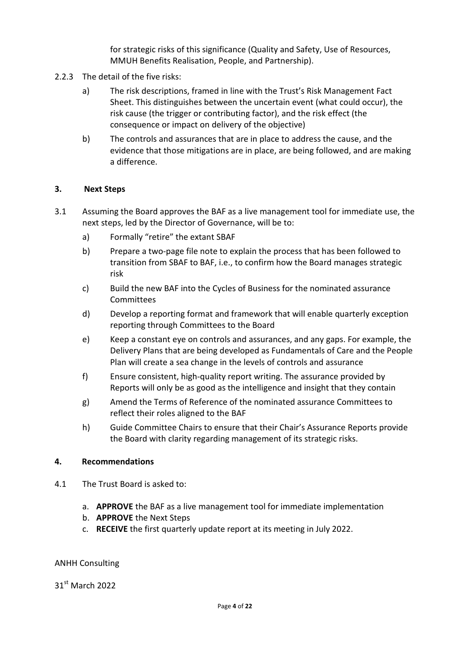for strategic risks of this significance (Quality and Safety, Use of Resources, MMUH Benefits Realisation, People, and Partnership).

- 2.2.3 The detail of the five risks:
	- a) The risk descriptions, framed in line with the Trust's Risk Management Fact Sheet. This distinguishes between the uncertain event (what could occur), the risk cause (the trigger or contributing factor), and the risk effect (the consequence or impact on delivery of the objective)
	- b) The controls and assurances that are in place to address the cause, and the evidence that those mitigations are in place, are being followed, and are making a difference.

### **3. Next Steps**

- 3.1 Assuming the Board approves the BAF as a live management tool for immediate use, the next steps, led by the Director of Governance, will be to:
	- a) Formally "retire" the extant SBAF
	- b) Prepare a two-page file note to explain the process that has been followed to transition from SBAF to BAF, i.e., to confirm how the Board manages strategic risk
	- c) Build the new BAF into the Cycles of Business for the nominated assurance Committees
	- d) Develop a reporting format and framework that will enable quarterly exception reporting through Committees to the Board
	- e) Keep a constant eye on controls and assurances, and any gaps. For example, the Delivery Plans that are being developed as Fundamentals of Care and the People Plan will create a sea change in the levels of controls and assurance
	- f) Ensure consistent, high-quality report writing. The assurance provided by Reports will only be as good as the intelligence and insight that they contain
	- g) Amend the Terms of Reference of the nominated assurance Committees to reflect their roles aligned to the BAF
	- h) Guide Committee Chairs to ensure that their Chair's Assurance Reports provide the Board with clarity regarding management of its strategic risks.

#### **4. Recommendations**

- 4.1 The Trust Board is asked to:
	- a. **APPROVE** the BAF as a live management tool for immediate implementation
	- b. **APPROVE** the Next Steps
	- c. **RECEIVE** the first quarterly update report at its meeting in July 2022.

#### ANHH Consulting

31st March 2022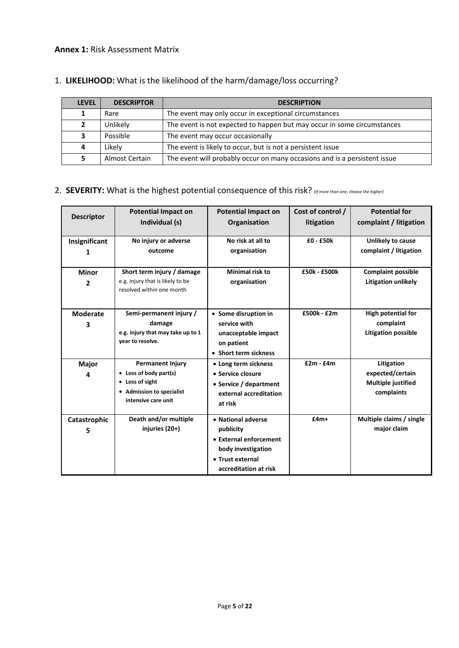#### **Annex 1:** Risk Assessment Matrix

| <b>LEVEL</b> | <b>DESCRIPTOR</b> | <b>DESCRIPTION</b>                                                        |
|--------------|-------------------|---------------------------------------------------------------------------|
|              | Rare              | The event may only occur in exceptional circumstances                     |
|              | Unlikely          | The event is not expected to happen but may occur in some circumstances   |
|              | Possible          | The event may occur occasionally                                          |
| 4            | Likely            | The event is likely to occur, but is not a persistent issue               |
|              | Almost Certain    | The event will probably occur on many occasions and is a persistent issue |

## 1. **LIKELIHOOD:** What is the likelihood of the harm/damage/loss occurring?

## 2. **SEVERITY:** What is the highest potential consequence of this risk? *(If more than one, choose the higher)*

| <b>Descriptor</b>              | <b>Potential Impact on</b><br>Individual (s)                                                                             | <b>Potential Impact on</b><br>Organisation                                                                                   | Cost of control /<br>litigation | <b>Potential for</b><br>complaint / litigation                       |
|--------------------------------|--------------------------------------------------------------------------------------------------------------------------|------------------------------------------------------------------------------------------------------------------------------|---------------------------------|----------------------------------------------------------------------|
| Insignificant<br>1             | No injury or adverse<br>outcome                                                                                          | No risk at all to<br>organisation                                                                                            | $£0 - £50k$                     | Unlikely to cause<br>complaint / litigation                          |
| <b>Minor</b><br>$\overline{2}$ | Short term injury / damage<br>e.g. injury that is likely to be<br>resolved within one month                              | <b>Minimal risk to</b><br>organisation                                                                                       | £50k - £500k                    | <b>Complaint possible</b><br><b>Litigation unlikely</b>              |
| <b>Moderate</b><br>3           | Semi-permanent injury /<br>damage<br>e.g. injury that may take up to 1<br>year to resolve.                               | • Some disruption in<br>service with<br>unacceptable impact<br>on patient<br>• Short term sickness                           | £500k - £2m                     | <b>High potential for</b><br>complaint<br><b>Litigation possible</b> |
| Major<br>4                     | <b>Permanent Injury</b><br>• Loss of body part(s)<br>• Loss of sight<br>• Admission to specialist<br>intensive care unit | • Long term sickness<br>• Service closure<br>• Service / department<br>external accreditation<br>at risk                     | $f2m - f4m$                     | Litigation<br>expected/certain<br>Multiple justified<br>complaints   |
| Catastrophic<br>5              | Death and/or multiple<br>injuries (20+)                                                                                  | • National adverse<br>publicity<br>• External enforcement<br>body investigation<br>• Trust external<br>accreditation at risk | $f4m+$                          | Multiple claims / single<br>major claim                              |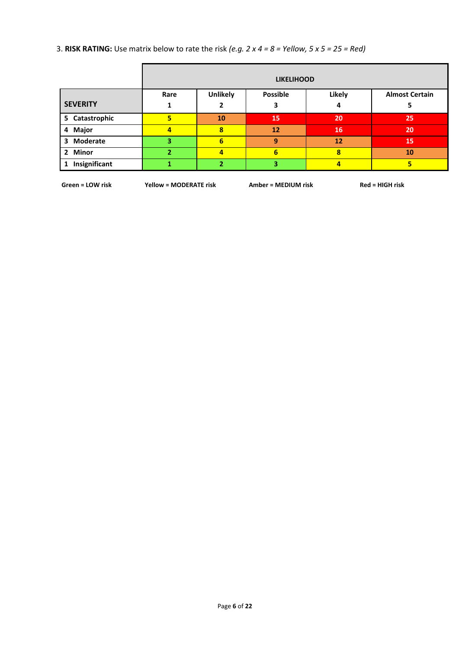3. **RISK RATING:** Use matrix below to rate the risk *(e.g. 2 x 4 = 8 = Yellow, 5 x 5 = 25 = Red)* 

|                    | <b>LIKELIHOOD</b> |                 |                 |        |                       |  |  |
|--------------------|-------------------|-----------------|-----------------|--------|-----------------------|--|--|
|                    | Rare              | <b>Unlikely</b> | <b>Possible</b> | Likely | <b>Almost Certain</b> |  |  |
| <b>SEVERITY</b>    |                   |                 |                 | 4      |                       |  |  |
| 5 Catastrophic     |                   | 10              | 15              | 20     | 25                    |  |  |
| 4 Major            |                   | 8               | 12              | 16     | 20                    |  |  |
| 3 Moderate         |                   | 6               | 9               | 12     | 15                    |  |  |
| 2 Minor            |                   | 4               | 6               | 8      | 10                    |  |  |
| Insignificant<br>1 |                   |                 | 3.              | 4      |                       |  |  |

Green = LOW risk Yellow = MODERATE risk Amber = MEDIUM risk Red = HIGH risk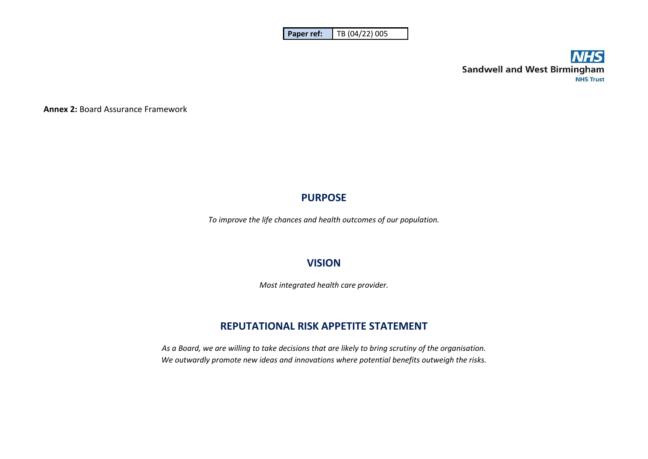| l Paper ref: | TB (04/22) 005 |
|--------------|----------------|
|--------------|----------------|



**Annex 2:** Board Assurance Framework

## **PURPOSE**

*To improve the life chances and health outcomes of our population.* 

# **VISION**

*Most integrated health care provider.* 

## **REPUTATIONAL RISK APPETITE STATEMENT**

*As a Board, we are willing to take decisions that are likely to bring scrutiny of the organisation. We outwardly promote new ideas and innovations where potential benefits outweigh the risks.*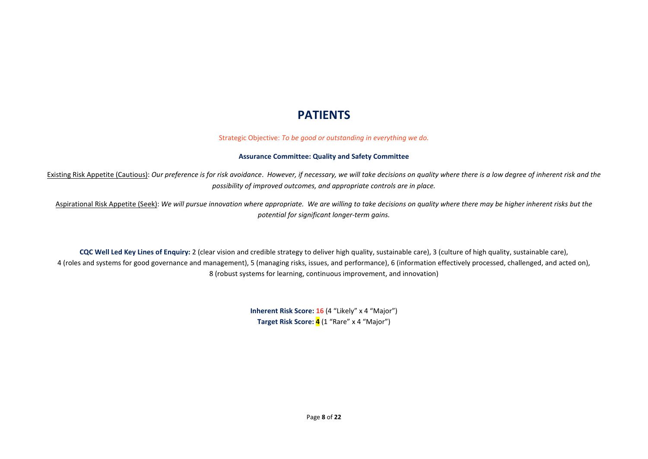# **PATIENTS**

Strategic Objective: *To be good or outstanding in everything we do.* 

#### **Assurance Committee: Quality and Safety Committee**

Existing Risk Appetite (Cautious): *Our preference is for risk avoidance*. *However, if necessary, we will take decisions on quality where there is a low degree of inherent risk and the possibility of improved outcomes, and appropriate controls are in place.* 

Aspirational Risk Appetite (Seek): *We will pursue innovation where appropriate. We are willing to take decisions on quality where there may be higher inherent risks but the potential for significant longer-term gains.* 

**CQC Well Led Key Lines of Enquiry:** 2 (clear vision and credible strategy to deliver high quality, sustainable care), 3 (culture of high quality, sustainable care), 4 (roles and systems for good governance and management), 5 (managing risks, issues, and performance), 6 (information effectively processed, challenged, and acted on), 8 (robust systems for learning, continuous improvement, and innovation)

> **Inherent Risk Score: 16** (4 "Likely" x 4 "Major") **Target Risk Score: 4** (1 "Rare" x 4 "Major")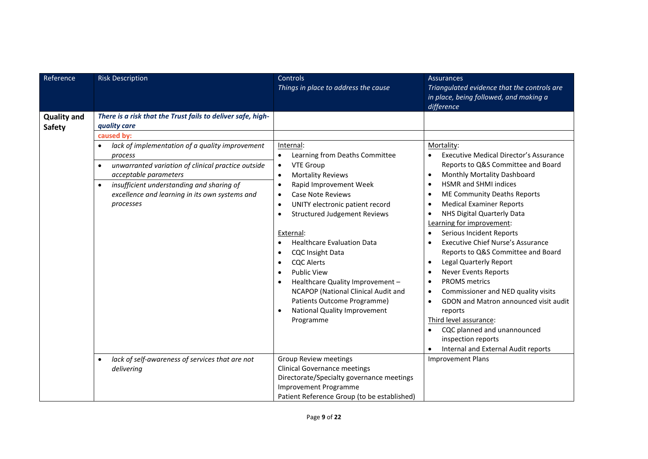| Reference                           | <b>Risk Description</b>                                                                                                                                                                                                                                                                                                                                                      | Controls<br>Things in place to address the cause                                                                                                                                                                                                                                                                                                                                                                                                                                                                                                                                                                                                                       | <b>Assurances</b><br>Triangulated evidence that the controls are<br>in place, being followed, and making a<br>difference                                                                                                                                                                                                                                                                                                                                                                                                                                                                                                                                                                                                                                                                                                                                                       |
|-------------------------------------|------------------------------------------------------------------------------------------------------------------------------------------------------------------------------------------------------------------------------------------------------------------------------------------------------------------------------------------------------------------------------|------------------------------------------------------------------------------------------------------------------------------------------------------------------------------------------------------------------------------------------------------------------------------------------------------------------------------------------------------------------------------------------------------------------------------------------------------------------------------------------------------------------------------------------------------------------------------------------------------------------------------------------------------------------------|--------------------------------------------------------------------------------------------------------------------------------------------------------------------------------------------------------------------------------------------------------------------------------------------------------------------------------------------------------------------------------------------------------------------------------------------------------------------------------------------------------------------------------------------------------------------------------------------------------------------------------------------------------------------------------------------------------------------------------------------------------------------------------------------------------------------------------------------------------------------------------|
| <b>Quality and</b><br><b>Safety</b> | There is a risk that the Trust fails to deliver safe, high-<br>quality care<br>caused by:<br>lack of implementation of a quality improvement<br>process<br>unwarranted variation of clinical practice outside<br>$\bullet$<br>acceptable parameters<br>insufficient understanding and sharing of<br>$\bullet$<br>excellence and learning in its own systems and<br>processes | Internal:<br>Learning from Deaths Committee<br><b>VTE Group</b><br>$\bullet$<br><b>Mortality Reviews</b><br>$\bullet$<br>Rapid Improvement Week<br>$\bullet$<br><b>Case Note Reviews</b><br>$\bullet$<br>UNITY electronic patient record<br>$\bullet$<br><b>Structured Judgement Reviews</b><br>$\bullet$<br>External:<br><b>Healthcare Evaluation Data</b><br>$\bullet$<br><b>CQC Insight Data</b><br>$\bullet$<br><b>CQC Alerts</b><br>$\bullet$<br><b>Public View</b><br>$\bullet$<br>Healthcare Quality Improvement -<br>$\bullet$<br>NCAPOP (National Clinical Audit and<br>Patients Outcome Programme)<br>National Quality Improvement<br>$\bullet$<br>Programme | Mortality:<br><b>Executive Medical Director's Assurance</b><br>Reports to Q&S Committee and Board<br>Monthly Mortality Dashboard<br>$\bullet$<br><b>HSMR and SHMI indices</b><br>$\bullet$<br>ME Community Deaths Reports<br>$\bullet$<br><b>Medical Examiner Reports</b><br>$\bullet$<br>NHS Digital Quarterly Data<br>٠<br>Learning for improvement:<br>Serious Incident Reports<br>$\bullet$<br><b>Executive Chief Nurse's Assurance</b><br>$\bullet$<br>Reports to Q&S Committee and Board<br>Legal Quarterly Report<br>$\bullet$<br><b>Never Events Reports</b><br>$\bullet$<br><b>PROMS</b> metrics<br>$\bullet$<br>Commissioner and NED quality visits<br>$\bullet$<br>GDON and Matron announced visit audit<br>$\bullet$<br>reports<br>Third level assurance:<br>CQC planned and unannounced<br>$\bullet$<br>inspection reports<br>Internal and External Audit reports |
|                                     | lack of self-awareness of services that are not<br>$\bullet$<br>delivering                                                                                                                                                                                                                                                                                                   | <b>Group Review meetings</b><br><b>Clinical Governance meetings</b><br>Directorate/Specialty governance meetings<br>Improvement Programme<br>Patient Reference Group (to be established)                                                                                                                                                                                                                                                                                                                                                                                                                                                                               | <b>Improvement Plans</b>                                                                                                                                                                                                                                                                                                                                                                                                                                                                                                                                                                                                                                                                                                                                                                                                                                                       |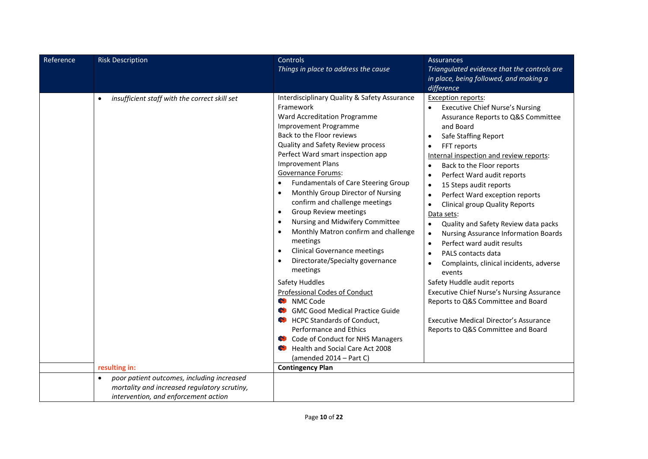| Reference | <b>Risk Description</b>                                    | Controls                                                                                                                                                                                                                                                                                                                                                                                                                                                                                                                                                                                                                                                                                                                                                                                                                                                                                                                                                                                 | <b>Assurances</b>                                                                                                                                                                                                                                                                                                                                                                                                                                                                                                                                                                                                                                                                                                                                                                                                                                                                                                                                                  |
|-----------|------------------------------------------------------------|------------------------------------------------------------------------------------------------------------------------------------------------------------------------------------------------------------------------------------------------------------------------------------------------------------------------------------------------------------------------------------------------------------------------------------------------------------------------------------------------------------------------------------------------------------------------------------------------------------------------------------------------------------------------------------------------------------------------------------------------------------------------------------------------------------------------------------------------------------------------------------------------------------------------------------------------------------------------------------------|--------------------------------------------------------------------------------------------------------------------------------------------------------------------------------------------------------------------------------------------------------------------------------------------------------------------------------------------------------------------------------------------------------------------------------------------------------------------------------------------------------------------------------------------------------------------------------------------------------------------------------------------------------------------------------------------------------------------------------------------------------------------------------------------------------------------------------------------------------------------------------------------------------------------------------------------------------------------|
|           |                                                            | Things in place to address the cause                                                                                                                                                                                                                                                                                                                                                                                                                                                                                                                                                                                                                                                                                                                                                                                                                                                                                                                                                     | Triangulated evidence that the controls are                                                                                                                                                                                                                                                                                                                                                                                                                                                                                                                                                                                                                                                                                                                                                                                                                                                                                                                        |
|           |                                                            |                                                                                                                                                                                                                                                                                                                                                                                                                                                                                                                                                                                                                                                                                                                                                                                                                                                                                                                                                                                          | in place, being followed, and making a                                                                                                                                                                                                                                                                                                                                                                                                                                                                                                                                                                                                                                                                                                                                                                                                                                                                                                                             |
|           |                                                            |                                                                                                                                                                                                                                                                                                                                                                                                                                                                                                                                                                                                                                                                                                                                                                                                                                                                                                                                                                                          | difference                                                                                                                                                                                                                                                                                                                                                                                                                                                                                                                                                                                                                                                                                                                                                                                                                                                                                                                                                         |
|           | insufficient staff with the correct skill set<br>$\bullet$ | Interdisciplinary Quality & Safety Assurance<br>Framework<br>Ward Accreditation Programme<br>Improvement Programme<br>Back to the Floor reviews<br>Quality and Safety Review process<br>Perfect Ward smart inspection app<br><b>Improvement Plans</b><br>Governance Forums:<br><b>Fundamentals of Care Steering Group</b><br>$\bullet$<br>Monthly Group Director of Nursing<br>$\bullet$<br>confirm and challenge meetings<br><b>Group Review meetings</b><br>$\bullet$<br>Nursing and Midwifery Committee<br>$\bullet$<br>Monthly Matron confirm and challenge<br>$\bullet$<br>meetings<br><b>Clinical Governance meetings</b><br>$\bullet$<br>Directorate/Specialty governance<br>$\bullet$<br>meetings<br>Safety Huddles<br>Professional Codes of Conduct<br><b>W</b> NMC Code<br><b>GMC Good Medical Practice Guide</b><br>O<br><b>HCPC Standards of Conduct,</b><br>$\bullet$<br>Performance and Ethics<br>Code of Conduct for NHS Managers<br>ø<br>Health and Social Care Act 2008 | <b>Exception reports:</b><br><b>Executive Chief Nurse's Nursing</b><br>Assurance Reports to Q&S Committee<br>and Board<br>Safe Staffing Report<br>$\bullet$<br>FFT reports<br>$\bullet$<br>Internal inspection and review reports:<br>Back to the Floor reports<br>$\bullet$<br>Perfect Ward audit reports<br>$\bullet$<br>15 Steps audit reports<br>$\bullet$<br>Perfect Ward exception reports<br>$\bullet$<br><b>Clinical group Quality Reports</b><br>$\bullet$<br>Data sets:<br>Quality and Safety Review data packs<br>$\bullet$<br><b>Nursing Assurance Information Boards</b><br>$\bullet$<br>Perfect ward audit results<br>$\bullet$<br>PALS contacts data<br>$\bullet$<br>Complaints, clinical incidents, adverse<br>$\bullet$<br>events<br>Safety Huddle audit reports<br><b>Executive Chief Nurse's Nursing Assurance</b><br>Reports to Q&S Committee and Board<br><b>Executive Medical Director's Assurance</b><br>Reports to Q&S Committee and Board |
|           |                                                            | (amended $2014 - Part C$ )                                                                                                                                                                                                                                                                                                                                                                                                                                                                                                                                                                                                                                                                                                                                                                                                                                                                                                                                                               |                                                                                                                                                                                                                                                                                                                                                                                                                                                                                                                                                                                                                                                                                                                                                                                                                                                                                                                                                                    |
|           | resulting in:                                              | <b>Contingency Plan</b>                                                                                                                                                                                                                                                                                                                                                                                                                                                                                                                                                                                                                                                                                                                                                                                                                                                                                                                                                                  |                                                                                                                                                                                                                                                                                                                                                                                                                                                                                                                                                                                                                                                                                                                                                                                                                                                                                                                                                                    |
|           | poor patient outcomes, including increased<br>$\bullet$    |                                                                                                                                                                                                                                                                                                                                                                                                                                                                                                                                                                                                                                                                                                                                                                                                                                                                                                                                                                                          |                                                                                                                                                                                                                                                                                                                                                                                                                                                                                                                                                                                                                                                                                                                                                                                                                                                                                                                                                                    |
|           | mortality and increased regulatory scrutiny,               |                                                                                                                                                                                                                                                                                                                                                                                                                                                                                                                                                                                                                                                                                                                                                                                                                                                                                                                                                                                          |                                                                                                                                                                                                                                                                                                                                                                                                                                                                                                                                                                                                                                                                                                                                                                                                                                                                                                                                                                    |
|           | intervention, and enforcement action                       |                                                                                                                                                                                                                                                                                                                                                                                                                                                                                                                                                                                                                                                                                                                                                                                                                                                                                                                                                                                          |                                                                                                                                                                                                                                                                                                                                                                                                                                                                                                                                                                                                                                                                                                                                                                                                                                                                                                                                                                    |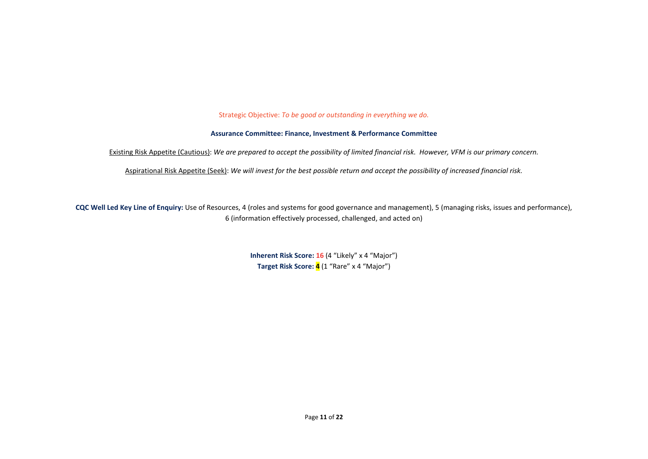Strategic Objective: *To be good or outstanding in everything we do.* 

#### **Assurance Committee: Finance, Investment & Performance Committee**

Existing Risk Appetite (Cautious): *We are prepared to accept the possibility of limited financial risk. However, VFM is our primary concern.* 

Aspirational Risk Appetite (Seek): *We will invest for the best possible return and accept the possibility of increased financial risk.* 

**CQC Well Led Key Line of Enquiry:** Use of Resources, 4 (roles and systems for good governance and management), 5 (managing risks, issues and performance), 6 (information effectively processed, challenged, and acted on)

> **Inherent Risk Score: 16** (4 "Likely" x 4 "Major") **Target Risk Score: 4** (1 "Rare" x 4 "Major")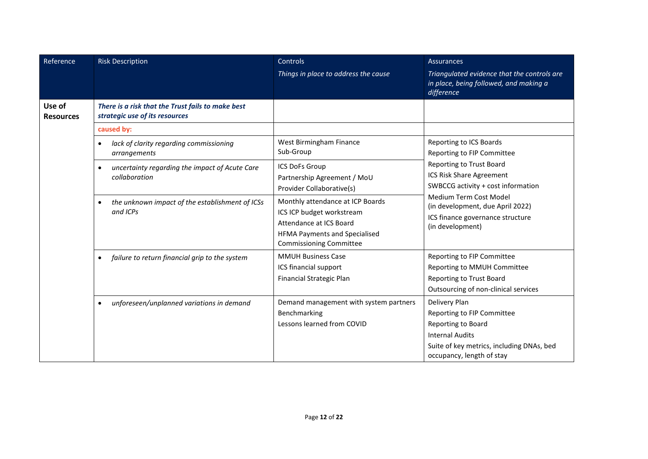| Reference                  | <b>Risk Description</b>                                                             | Controls<br>Things in place to address the cause                                                                                                            | Assurances<br>Triangulated evidence that the controls are<br>in place, being followed, and making a<br>difference                                                     |
|----------------------------|-------------------------------------------------------------------------------------|-------------------------------------------------------------------------------------------------------------------------------------------------------------|-----------------------------------------------------------------------------------------------------------------------------------------------------------------------|
| Use of<br><b>Resources</b> | There is a risk that the Trust fails to make best<br>strategic use of its resources |                                                                                                                                                             |                                                                                                                                                                       |
|                            | caused by:                                                                          |                                                                                                                                                             |                                                                                                                                                                       |
|                            | lack of clarity regarding commissioning<br>$\bullet$<br>arrangements                | West Birmingham Finance<br>Sub-Group                                                                                                                        | Reporting to ICS Boards<br>Reporting to FIP Committee                                                                                                                 |
|                            | uncertainty regarding the impact of Acute Care<br>$\bullet$<br>collaboration        | ICS DoFs Group<br>Partnership Agreement / MoU<br>Provider Collaborative(s)                                                                                  | Reporting to Trust Board<br><b>ICS Risk Share Agreement</b><br>SWBCCG activity + cost information                                                                     |
|                            | the unknown impact of the establishment of ICSs<br>$\bullet$<br>and ICPs            | Monthly attendance at ICP Boards<br>ICS ICP budget workstream<br>Attendance at ICS Board<br>HFMA Payments and Specialised<br><b>Commissioning Committee</b> | Medium Term Cost Model<br>(in development, due April 2022)<br>ICS finance governance structure<br>(in development)                                                    |
|                            | failure to return financial grip to the system<br>$\bullet$                         | <b>MMUH Business Case</b><br>ICS financial support<br><b>Financial Strategic Plan</b>                                                                       | Reporting to FIP Committee<br>Reporting to MMUH Committee<br>Reporting to Trust Board<br>Outsourcing of non-clinical services                                         |
|                            | unforeseen/unplanned variations in demand<br>$\bullet$                              | Demand management with system partners<br>Benchmarking<br>Lessons learned from COVID                                                                        | Delivery Plan<br>Reporting to FIP Committee<br>Reporting to Board<br><b>Internal Audits</b><br>Suite of key metrics, including DNAs, bed<br>occupancy, length of stay |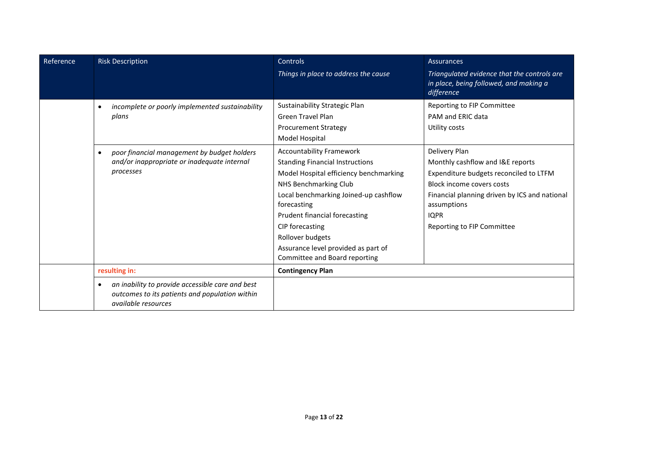| Reference | <b>Risk Description</b>                                                                                                                | Controls                                                                                                                                                                                                                                                                                                                                             | Assurances                                                                                                                                                                                                                            |
|-----------|----------------------------------------------------------------------------------------------------------------------------------------|------------------------------------------------------------------------------------------------------------------------------------------------------------------------------------------------------------------------------------------------------------------------------------------------------------------------------------------------------|---------------------------------------------------------------------------------------------------------------------------------------------------------------------------------------------------------------------------------------|
|           |                                                                                                                                        | Things in place to address the cause                                                                                                                                                                                                                                                                                                                 | Triangulated evidence that the controls are<br>in place, being followed, and making a<br>difference                                                                                                                                   |
|           | incomplete or poorly implemented sustainability<br>$\bullet$<br>plans                                                                  | Sustainability Strategic Plan<br><b>Green Travel Plan</b><br><b>Procurement Strategy</b><br>Model Hospital                                                                                                                                                                                                                                           | Reporting to FIP Committee<br>PAM and FRIC data<br>Utility costs                                                                                                                                                                      |
|           | poor financial management by budget holders<br>$\bullet$<br>and/or inappropriate or inadequate internal<br>processes                   | <b>Accountability Framework</b><br><b>Standing Financial Instructions</b><br>Model Hospital efficiency benchmarking<br>NHS Benchmarking Club<br>Local benchmarking Joined-up cashflow<br>forecasting<br>Prudent financial forecasting<br>CIP forecasting<br>Rollover budgets<br>Assurance level provided as part of<br>Committee and Board reporting | Delivery Plan<br>Monthly cashflow and I&E reports<br>Expenditure budgets reconciled to LTFM<br>Block income covers costs<br>Financial planning driven by ICS and national<br>assumptions<br><b>IQPR</b><br>Reporting to FIP Committee |
|           | resulting in:                                                                                                                          | <b>Contingency Plan</b>                                                                                                                                                                                                                                                                                                                              |                                                                                                                                                                                                                                       |
|           | an inability to provide accessible care and best<br>$\bullet$<br>outcomes to its patients and population within<br>available resources |                                                                                                                                                                                                                                                                                                                                                      |                                                                                                                                                                                                                                       |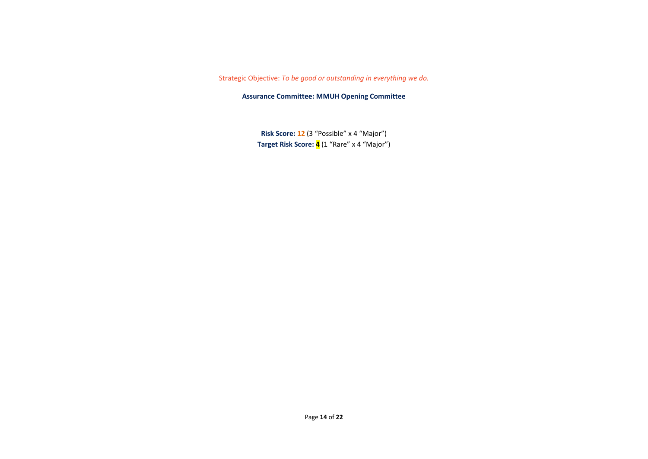#### Strategic Objective: *To be good or outstanding in everything we do.*

**Assurance Committee: MMUH Opening Committee** 

**Risk Score: 12** (3 "Possible" x 4 "Major") **Target Risk Score: 4** (1 "Rare" x 4 "Major")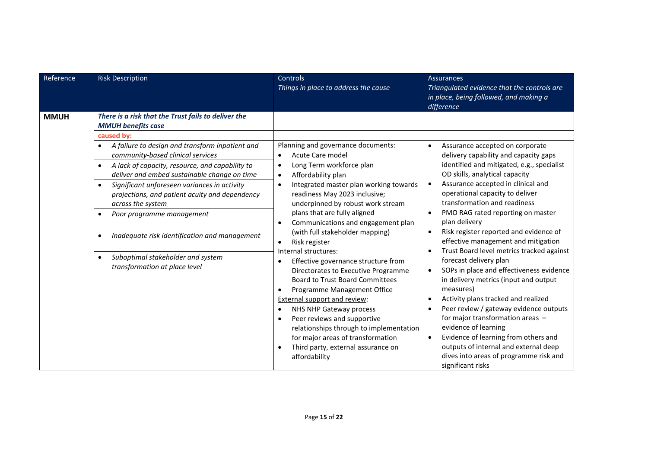| Reference   | <b>Risk Description</b>                                                                                                                                                                                                                                                                                                                                                                                                                                                                                                                                                                                                                            | Controls<br>Things in place to address the cause                                                                                                                                                                                                                                                                                                                                                                                                                                                                                                                                                                                                                                                                                    | Assurances<br>Triangulated evidence that the controls are<br>in place, being followed, and making a<br>difference                                                                                                                                                                                                                                                                                                                                                                                                                                                                                                                                                                                                                                                                                              |
|-------------|----------------------------------------------------------------------------------------------------------------------------------------------------------------------------------------------------------------------------------------------------------------------------------------------------------------------------------------------------------------------------------------------------------------------------------------------------------------------------------------------------------------------------------------------------------------------------------------------------------------------------------------------------|-------------------------------------------------------------------------------------------------------------------------------------------------------------------------------------------------------------------------------------------------------------------------------------------------------------------------------------------------------------------------------------------------------------------------------------------------------------------------------------------------------------------------------------------------------------------------------------------------------------------------------------------------------------------------------------------------------------------------------------|----------------------------------------------------------------------------------------------------------------------------------------------------------------------------------------------------------------------------------------------------------------------------------------------------------------------------------------------------------------------------------------------------------------------------------------------------------------------------------------------------------------------------------------------------------------------------------------------------------------------------------------------------------------------------------------------------------------------------------------------------------------------------------------------------------------|
| <b>MMUH</b> | There is a risk that the Trust fails to deliver the<br><b>MMUH benefits case</b><br>caused by:<br>A failure to design and transform inpatient and<br>$\bullet$<br>community-based clinical services<br>A lack of capacity, resource, and capability to<br>$\bullet$<br>deliver and embed sustainable change on time<br>Significant unforeseen variances in activity<br>$\bullet$<br>projections, and patient acuity and dependency<br>across the system<br>Poor programme management<br>$\bullet$<br>Inadequate risk identification and management<br>$\bullet$<br>Suboptimal stakeholder and system<br>$\bullet$<br>transformation at place level | Planning and governance documents:<br>Acute Care model<br>Long Term workforce plan<br>$\bullet$<br>Affordability plan<br>$\bullet$<br>Integrated master plan working towards<br>$\bullet$<br>readiness May 2023 inclusive;<br>underpinned by robust work stream<br>plans that are fully aligned<br>Communications and engagement plan<br>$\bullet$<br>(with full stakeholder mapping)<br>Risk register<br>$\bullet$<br>Internal structures:<br>Effective governance structure from<br>$\bullet$<br>Directorates to Executive Programme<br><b>Board to Trust Board Committees</b><br>Programme Management Office<br>External support and review:<br>NHS NHP Gateway process<br>$\bullet$<br>Peer reviews and supportive<br>$\bullet$ | Assurance accepted on corporate<br>$\bullet$<br>delivery capability and capacity gaps<br>identified and mitigated, e.g., specialist<br>OD skills, analytical capacity<br>Assurance accepted in clinical and<br>$\bullet$<br>operational capacity to deliver<br>transformation and readiness<br>PMO RAG rated reporting on master<br>$\bullet$<br>plan delivery<br>Risk register reported and evidence of<br>$\bullet$<br>effective management and mitigation<br>Trust Board level metrics tracked against<br>$\bullet$<br>forecast delivery plan<br>SOPs in place and effectiveness evidence<br>$\bullet$<br>in delivery metrics (input and output<br>measures)<br>Activity plans tracked and realized<br>$\bullet$<br>Peer review / gateway evidence outputs<br>$\bullet$<br>for major transformation areas - |
|             |                                                                                                                                                                                                                                                                                                                                                                                                                                                                                                                                                                                                                                                    | relationships through to implementation<br>for major areas of transformation<br>Third party, external assurance on<br>$\bullet$<br>affordability                                                                                                                                                                                                                                                                                                                                                                                                                                                                                                                                                                                    | evidence of learning<br>Evidence of learning from others and<br>$\bullet$<br>outputs of internal and external deep<br>dives into areas of programme risk and<br>significant risks                                                                                                                                                                                                                                                                                                                                                                                                                                                                                                                                                                                                                              |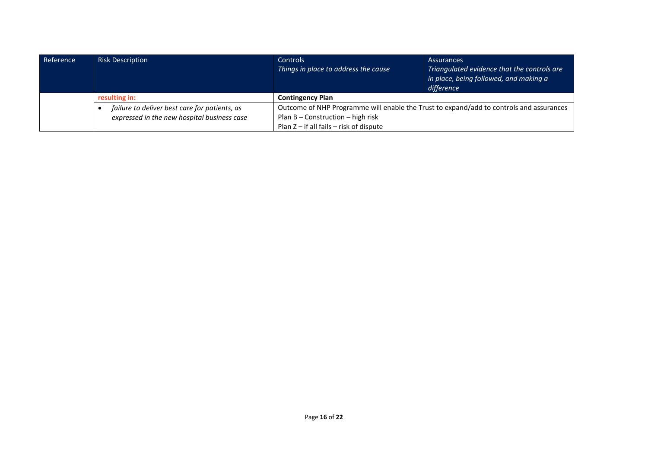| Reference | <b>Risk Description</b>                       | <b>Controls</b><br>Things in place to address the cause                                                                        | <b>Assurances</b><br>Triangulated evidence that the controls are<br>in place, being followed, and making a $'$<br>difference |
|-----------|-----------------------------------------------|--------------------------------------------------------------------------------------------------------------------------------|------------------------------------------------------------------------------------------------------------------------------|
|           | resulting in:                                 | <b>Contingency Plan</b>                                                                                                        |                                                                                                                              |
|           | failure to deliver best care for patients, as | Outcome of NHP Programme will enable the Trust to expand/add to controls and assurances<br>Plan $B$ – Construction – high risk |                                                                                                                              |
|           | expressed in the new hospital business case   |                                                                                                                                |                                                                                                                              |
|           |                                               | Plan $Z$ – if all fails – risk of dispute                                                                                      |                                                                                                                              |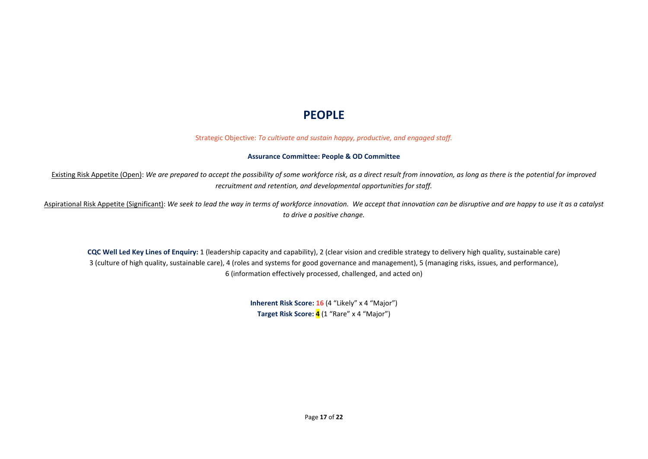# **PEOPLE**

Strategic Objective: *To cultivate and sustain happy, productive, and engaged staff.* 

#### **Assurance Committee: People & OD Committee**

Existing Risk Appetite (Open): *We are prepared to accept the possibility of some workforce risk, as a direct result from innovation, as long as there is the potential for improved recruitment and retention, and developmental opportunities for staff.* 

Aspirational Risk Appetite (Significant): *We seek to lead the way in terms of workforce innovation. We accept that innovation can be disruptive and are happy to use it as a catalyst to drive a positive change.* 

**CQC Well Led Key Lines of Enquiry:** 1 (leadership capacity and capability), 2 (clear vision and credible strategy to delivery high quality, sustainable care) 3 (culture of high quality, sustainable care), 4 (roles and systems for good governance and management), 5 (managing risks, issues, and performance), 6 (information effectively processed, challenged, and acted on)

> **Inherent Risk Score: 16** (4 "Likely" x 4 "Major") **Target Risk Score: 4** (1 "Rare" x 4 "Major")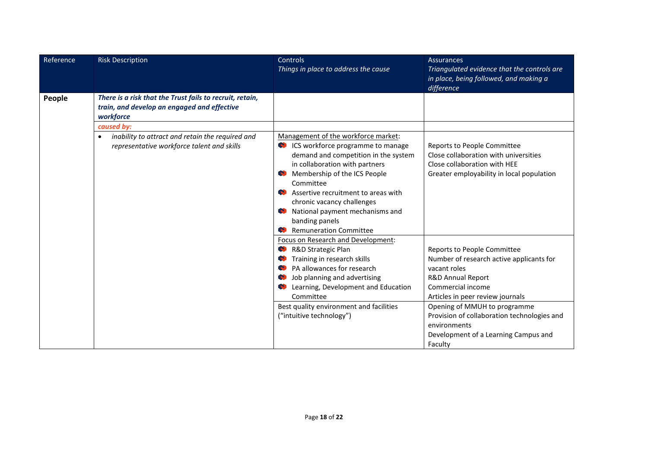| Reference | <b>Risk Description</b>                                                                                              | <b>Controls</b><br>Things in place to address the cause | <b>Assurances</b><br>Triangulated evidence that the controls are |
|-----------|----------------------------------------------------------------------------------------------------------------------|---------------------------------------------------------|------------------------------------------------------------------|
|           |                                                                                                                      |                                                         | in place, being followed, and making a<br>difference             |
| People    | There is a risk that the Trust fails to recruit, retain,<br>train, and develop an engaged and effective<br>workforce |                                                         |                                                                  |
|           | caused by:                                                                                                           |                                                         |                                                                  |
|           | inability to attract and retain the required and                                                                     | Management of the workforce market:                     |                                                                  |
|           | representative workforce talent and skills                                                                           | CS workforce programme to manage                        | Reports to People Committee                                      |
|           |                                                                                                                      | demand and competition in the system                    | Close collaboration with universities                            |
|           |                                                                                                                      | in collaboration with partners                          | Close collaboration with HEE                                     |
|           |                                                                                                                      | Membership of the ICS People                            | Greater employability in local population                        |
|           |                                                                                                                      | Committee                                               |                                                                  |
|           |                                                                                                                      | Assertive recruitment to areas with                     |                                                                  |
|           |                                                                                                                      | chronic vacancy challenges                              |                                                                  |
|           |                                                                                                                      | National payment mechanisms and                         |                                                                  |
|           |                                                                                                                      | banding panels                                          |                                                                  |
|           |                                                                                                                      | Remuneration Committee                                  |                                                                  |
|           |                                                                                                                      | Focus on Research and Development:                      |                                                                  |
|           |                                                                                                                      | R&D Strategic Plan                                      | Reports to People Committee                                      |
|           |                                                                                                                      | Training in research skills                             | Number of research active applicants for                         |
|           |                                                                                                                      | PA allowances for research<br>O                         | vacant roles                                                     |
|           |                                                                                                                      | Job planning and advertising<br>w                       | R&D Annual Report                                                |
|           |                                                                                                                      | Learning, Development and Education                     | Commercial income                                                |
|           |                                                                                                                      | Committee                                               | Articles in peer review journals                                 |
|           |                                                                                                                      | Best quality environment and facilities                 | Opening of MMUH to programme                                     |
|           |                                                                                                                      | ("intuitive technology")                                | Provision of collaboration technologies and                      |
|           |                                                                                                                      |                                                         | environments                                                     |
|           |                                                                                                                      |                                                         | Development of a Learning Campus and                             |
|           |                                                                                                                      |                                                         | Faculty                                                          |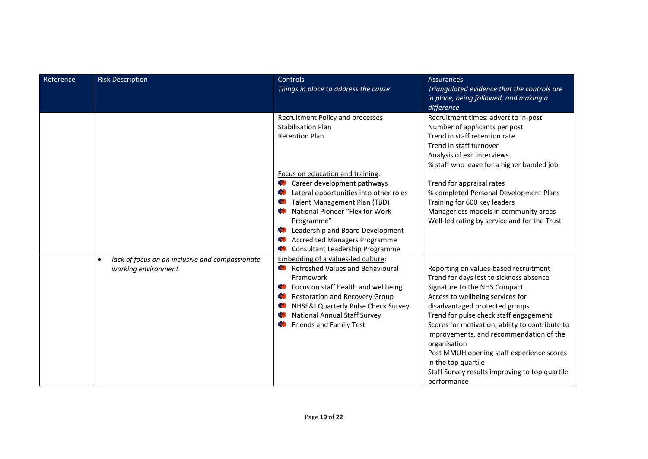| Reference | <b>Risk Description</b>                                      | Controls<br>Things in place to address the cause                             | <b>Assurances</b><br>Triangulated evidence that the controls are   |
|-----------|--------------------------------------------------------------|------------------------------------------------------------------------------|--------------------------------------------------------------------|
|           |                                                              |                                                                              | in place, being followed, and making a                             |
|           |                                                              |                                                                              | difference                                                         |
|           |                                                              | Recruitment Policy and processes                                             | Recruitment times: advert to in-post                               |
|           |                                                              | <b>Stabilisation Plan</b>                                                    | Number of applicants per post                                      |
|           |                                                              | <b>Retention Plan</b>                                                        | Trend in staff retention rate<br>Trend in staff turnover           |
|           |                                                              |                                                                              | Analysis of exit interviews                                        |
|           |                                                              |                                                                              | % staff who leave for a higher banded job                          |
|           |                                                              | Focus on education and training:                                             |                                                                    |
|           |                                                              | Career development pathways                                                  | Trend for appraisal rates                                          |
|           |                                                              | Collecteral opportunities into other roles                                   | % completed Personal Development Plans                             |
|           |                                                              | Contract Management Plan (TBD)                                               | Training for 600 key leaders                                       |
|           |                                                              | National Pioneer "Flex for Work                                              | Managerless models in community areas                              |
|           |                                                              | Programme"<br>Colleadership and Board Development                            | Well-led rating by service and for the Trust                       |
|           |                                                              | <b>Accredited Managers Programme</b>                                         |                                                                    |
|           |                                                              | Consultant Leadership Programme                                              |                                                                    |
|           | lack of focus on an inclusive and compassionate<br>$\bullet$ | Embedding of a values-led culture:                                           |                                                                    |
|           | working environment                                          | Refreshed Values and Behavioural                                             | Reporting on values-based recruitment                              |
|           |                                                              | Framework                                                                    | Trend for days lost to sickness absence                            |
|           |                                                              | Cocus on staff health and wellbeing                                          | Signature to the NHS Compact                                       |
|           |                                                              | <b>Restoration and Recovery Group</b><br>NHSE&I Quarterly Pulse Check Survey | Access to wellbeing services for<br>disadvantaged protected groups |
|           |                                                              | <b>National Annual Staff Survey</b><br>Ø.                                    | Trend for pulse check staff engagement                             |
|           |                                                              | <b>C</b> Friends and Family Test                                             | Scores for motivation, ability to contribute to                    |
|           |                                                              |                                                                              | improvements, and recommendation of the                            |
|           |                                                              |                                                                              | organisation                                                       |
|           |                                                              |                                                                              | Post MMUH opening staff experience scores                          |
|           |                                                              |                                                                              | in the top quartile                                                |
|           |                                                              |                                                                              | Staff Survey results improving to top quartile                     |
|           |                                                              |                                                                              | performance                                                        |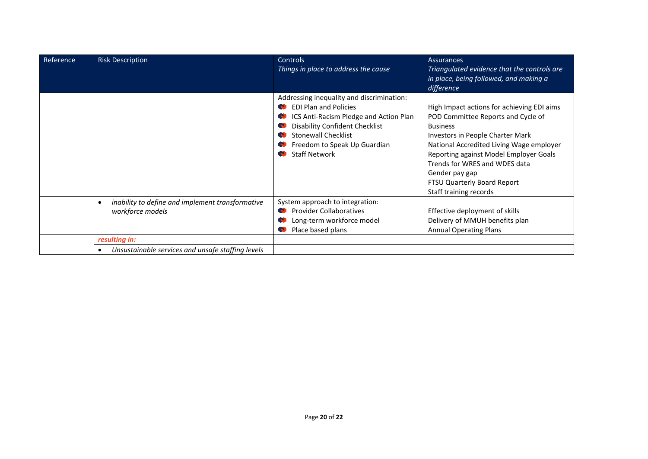| Reference | <b>Risk Description</b>                                                           | <b>Controls</b><br>Things in place to address the cause                                                                                                                                                                                            | <b>Assurances</b><br>Triangulated evidence that the controls are<br>in place, being followed, and making a<br>difference                                                                                                                                                                                                                         |
|-----------|-----------------------------------------------------------------------------------|----------------------------------------------------------------------------------------------------------------------------------------------------------------------------------------------------------------------------------------------------|--------------------------------------------------------------------------------------------------------------------------------------------------------------------------------------------------------------------------------------------------------------------------------------------------------------------------------------------------|
|           |                                                                                   | Addressing inequality and discrimination:<br><b>EDI Plan and Policies</b><br>ICS Anti-Racism Pledge and Action Plan<br><b>Disability Confident Checklist</b><br><b>Stonewall Checklist</b><br>Freedom to Speak Up Guardian<br><b>Staff Network</b> | High Impact actions for achieving EDI aims<br>POD Committee Reports and Cycle of<br><b>Business</b><br><b>Investors in People Charter Mark</b><br>National Accredited Living Wage employer<br>Reporting against Model Employer Goals<br>Trends for WRES and WDES data<br>Gender pay gap<br>FTSU Quarterly Board Report<br>Staff training records |
|           | inability to define and implement transformative<br>$\bullet$<br>workforce models | System approach to integration:<br><b>Provider Collaboratives</b><br>Long-term workforce model<br>Place based plans                                                                                                                                | Effective deployment of skills<br>Delivery of MMUH benefits plan<br><b>Annual Operating Plans</b>                                                                                                                                                                                                                                                |
|           | resulting in:                                                                     |                                                                                                                                                                                                                                                    |                                                                                                                                                                                                                                                                                                                                                  |
|           | Unsustainable services and unsafe staffing levels                                 |                                                                                                                                                                                                                                                    |                                                                                                                                                                                                                                                                                                                                                  |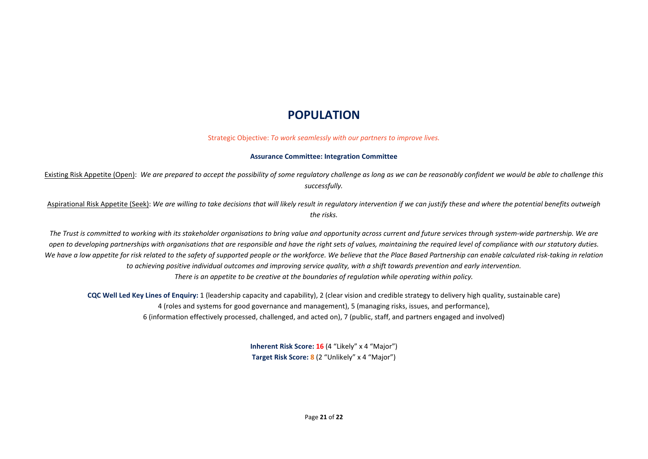# **POPULATION**

Strategic Objective: *To work seamlessly with our partners to improve lives.* 

#### **Assurance Committee: Integration Committee**

Existing Risk Appetite (Open): *We are prepared to accept the possibility of some regulatory challenge as long as we can be reasonably confident we would be able to challenge this successfully.* 

Aspirational Risk Appetite (Seek): *We are willing to take decisions that will likely result in regulatory intervention if we can justify these and where the potential benefits outweigh the risks.* 

*The Trust is committed to working with its stakeholder organisations to bring value and opportunity across current and future services through system-wide partnership. We are open to developing partnerships with organisations that are responsible and have the right sets of values, maintaining the required level of compliance with our statutory duties.* We have a low appetite for risk related to the safety of supported people or the workforce. We believe that the Place Based Partnership can enable calculated risk-taking in relation *to achieving positive individual outcomes and improving service quality, with a shift towards prevention and early intervention. There is an appetite to be creative at the boundaries of regulation while operating within policy.* 

**CQC Well Led Key Lines of Enquiry:** 1 (leadership capacity and capability), 2 (clear vision and credible strategy to delivery high quality, sustainable care) 4 (roles and systems for good governance and management), 5 (managing risks, issues, and performance),6 (information effectively processed, challenged, and acted on), 7 (public, staff, and partners engaged and involved)

> **Inherent Risk Score: 16** (4 "Likely" x 4 "Major") **Target Risk Score: 8** (2 "Unlikely" x 4 "Major")

> > Page **21** of **22**